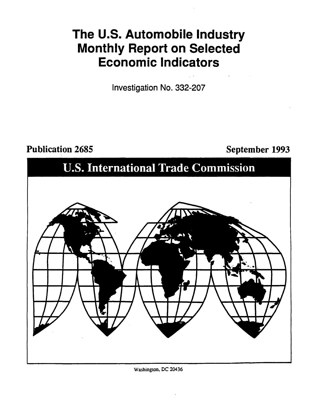# **The U.S. Automobile Industry Monthly Report on Selected Economic Indicators**

Investigation No. 332-207

Publication 2685 September 1993



Washinglon, DC 20436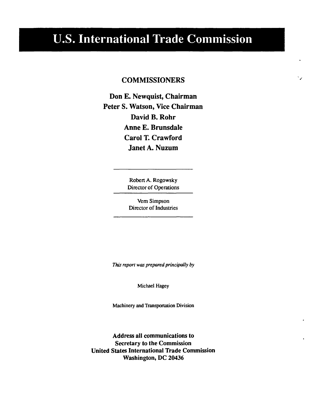# U.S. International Trade Commission

# **COMMISSIONERS**

 $\mathbf{v}$ 

Don E. Newquist, Chairman Peter S. Watson, Vice Chairman David B. Rohr Anne E. Brunsdale Carol T. Crawford Janet A. Nuzum

> Robert A. Rogowsky Director of Operations

Vern Simpson Director of Industries

*This report was prepared principally by* 

Michael Hagey

Machinery and Transportation Division

Address all communications to Secretary to the Commission United States International Trade Commission Washington, DC 20436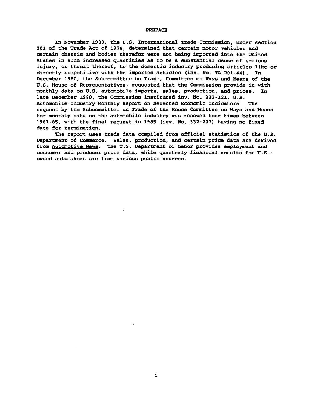#### PREFACE

In November 1980, the U.S. International Trade Camnission, under section 201 of the Trade Act of 1974, determined that certain motor vehicles and certain chassis and bodies therefor were not being imported into the United States in such increased quantities as to be a substantial cause of serious injury, or threat thereof, to the domestic industry producing articles like or<br>directly competitive with the imported articles (inv. No. TA-201-44). In directly competitive with the imported articles (inv. No. TA-201-44). December 1980, the Subcommittee on Trade, Committee on Ways and Means of the U.S. House of Representatives, requested that the Commission provide it with monthly data on U.S. automobile imports, sales, production, and prices. In late December 1980, the Commission instituted inv. No. 332-121, U.S. Automobile Industry Monthly Report on Selected Economic Indicators. The request by the Subcommittee on Trade of the House Committee on Ways and Means for monthly data on the automobile industry was renewed four times between 1981-85, with the final request in 1985 (inv. No. 332-207) having no fixed date for termination.

The report uses trade data compiled from official statistics of the U.S. Department of Commerce. Sales, production, and certain price data are derived from Automotive News. The U.S. Department of Labor provides employment and consumer and producer price data, while quarterly financial results for U.S. owned automakers are from various public sources.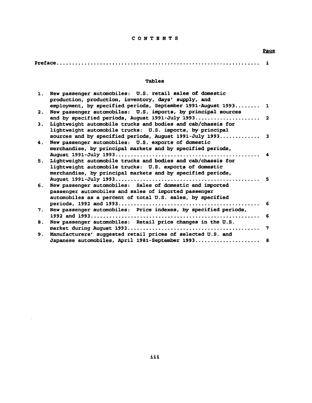## CONTENTS

## Page

| . . |  |
|-----|--|
|     |  |

### Tables

| 1. | New passenger automobiles: U.S. retail sales of domestic        |     |
|----|-----------------------------------------------------------------|-----|
|    | production, production, inventory, days' supply, and            |     |
|    | employment, by specified periods, September 1991-August 1993 1  |     |
| 2. | New passenger automobiles: U.S. imports, by principal sources   |     |
|    |                                                                 |     |
|    |                                                                 |     |
| 3. | Lightweight automobile trucks and bodies and cab/chassis for    |     |
|    | lightweight automobile trucks: U.S. imports, by principal       |     |
|    | sources and by specified periods, August 1991-July 1993 3       |     |
|    | New passenger automobiles: U.S. exports of domestic             |     |
| 4. |                                                                 |     |
|    | merchandise, by principal markets and by specified periods,     |     |
|    |                                                                 | 4   |
| 5. | Lightweight automobile trucks and bodies and cab/chassis for    |     |
|    | lightweight automobile trucks: U.S. exports of domestic         |     |
|    | merchandise, by principal markets and by specified periods,     |     |
|    |                                                                 |     |
|    |                                                                 | - 5 |
| 6. | New passenger automobiles: Sales of domestic and imported       |     |
|    | passenger automobiles and sales of imported passenger           |     |
|    | automobiles as a percent of total U.S. sales, by specified      |     |
|    |                                                                 | -6  |
|    |                                                                 |     |
| 7. | New passenger automobiles: Price indexes, by specified periods, |     |
|    |                                                                 | -6  |
| 8. | New passenger automobiles: Retail price changes in the U.S.     |     |
|    |                                                                 | 7   |
| 9. | Manufacturers' suggested retail prices of selected U.S. and     |     |
|    |                                                                 |     |
|    | Japanese automobiles, April 1981-September 1993 8               |     |

 $\sim 10^{-11}$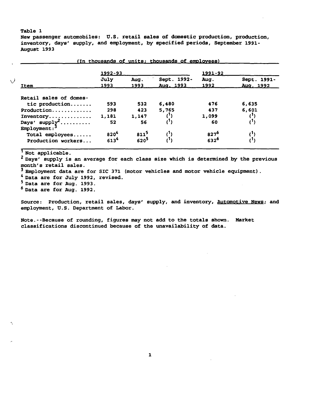New passenger automobiles: U.S. retail sales of domestic production, production, inventory, days' supply, and employment, by specified periods, September 1991- August 1993

|                            | 1992-93                       |           |             | 1991-92   |             |
|----------------------------|-------------------------------|-----------|-------------|-----------|-------------|
|                            | July                          | Aug.      | Sept. 1992- | Aug.      | Sept. 1991- |
| Item                       | 1993                          | 1993      | Aug. 1993   | 1992      | Aug. 1992   |
| Retail sales of domes-     |                               |           |             |           |             |
| tic production             | 593                           | 532       | 6,480       | 476       | 6,635       |
| Production                 | 298                           | 423       | 5,765       | 437       | 6,601       |
| Inventory                  | 1,181                         | 1,147     | $^{\prime}$ | 1,099     |             |
| Days' $\text{supp1y}^2$    | 52                            | 56        | (1)         | 60        |             |
| $Emplogment:$ <sup>3</sup> |                               |           |             |           |             |
| Total employees            |                               | $811^5$   |             | $827^{6}$ |             |
| Production workers         | $820^{4}$<br>613 <sup>4</sup> | $620^{5}$ | $^{(1)}$    | $632^{6}$ |             |

(In thousands of units; thousands of employees)

Not applicable.<br><sup>2</sup> Days' supply is an average for each class size which is determined by the previous month's retail sales.

<sup>3</sup> Employment data are for SIC 371 (motor vehicles and motor vehicle equipment).<br><sup>4</sup> Data are for July 1992, revised.

5 Data are for Aug. 1993.

6 Data are for Aug. 1992.

Source: Production, retail sales, days' supply, and inventory, Automotive News; and employment, U.S. Department of Labor.

Note.--Because of rounding, figures may not add to the totals shown. Market classifications discontinued because of the unavailability of data.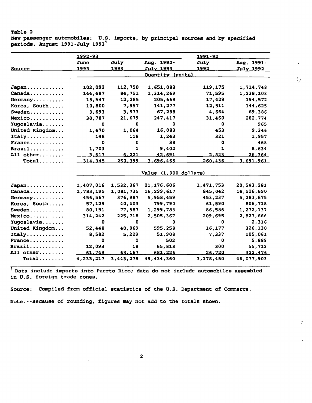New passenger automobiles: U.S. imports, by principal sources and by specified periods, August 1991-July 1993<sup>1</sup>

 $\zeta_{\mathscr{E}}$ 

 $\mathcal{L}$ 

|                                        | 1992-93               |              |                         | <u> 1991 - 92 </u> |               |  |  |
|----------------------------------------|-----------------------|--------------|-------------------------|--------------------|---------------|--|--|
|                                        | June                  | July         | Aug. 1992-              | July               | Aug. 1991-    |  |  |
| <u>Source</u>                          | <u> 1993 </u>         | 1993         | <u>July 1993</u>        | 1992               | July 1992     |  |  |
|                                        |                       |              | <b>Ouantity (units)</b> |                    |               |  |  |
| Japan                                  | 102,092               | 112,750      | 1,651,083               | 119,175            | 1,714,748     |  |  |
| Canada                                 | 144,487               | 84,751       | 1,314,269               | 71,595             | 1,238,108     |  |  |
| Germany                                | 15,547                | 12,285       | 205,669                 | 17,429             | 194,572       |  |  |
| Korea, South                           | 10,800                | 7,957        | 141,277                 | 12,511             | 144,625       |  |  |
| Sweden                                 | 3,693                 | 3,573        | 67,288                  | 4,664              | 69,386        |  |  |
| $Mexico$                               | 30,787                | 21,679       | 247,417                 | 31,460             | 282,774       |  |  |
| Yugoslavia                             | $\mathbf 0$           | 0            | 0                       | 0                  | 965           |  |  |
| United Kingdom                         | 1,470                 | 1,064        | 16,083                  | 453                | 9,346         |  |  |
| Italy                                  | 148                   | 118          | 1,243                   | 321                | 1,957         |  |  |
| $France \dots \dots \dots$             | 0                     | $\mathbf 0$  | 38                      | o                  | 468           |  |  |
| $\texttt{Brazil} \ldots \ldots \ldots$ | 1,703                 | $\mathbf{1}$ | 9,402                   | $\mathbf{1}$       | 8,634         |  |  |
| All other                              | 3,617                 | 6.221        | 42,691                  | 2,823              | <u>26,364</u> |  |  |
| $Total$                                | 314,345               | 250.399      | 3,696,465               | 260,436            | 3,691,961     |  |  |
|                                        | Value (1,000 dollars) |              |                         |                    |               |  |  |
| Japan                                  | 1,407,016             | 1,532,367    | 21,176,606              | 1,471,753          | 20,543,281    |  |  |
| Canada                                 | 1,783,195             | 1,081,735    | 16,299,617              | 845,042            | 14,526,690    |  |  |
| Germany                                | 456,567               | 376,987      | 5,958,459               | 453,237            | 5,283,675     |  |  |
| Korea, South                           | 57,129                | 40,403       | 799,790                 | 61,590             | 806,718       |  |  |
| Sweden                                 | 80,191                | 77,587       | 1,299,783               | 86,586             | 1,272,137     |  |  |
| Mexico                                 | 314,242               | 225,718      | 2,505,367               | 209,695            | 2,827,666     |  |  |
| Yugoslavia                             | ٥                     | 0            | Ω                       | 0                  | 2,316         |  |  |
| United Kingdom                         | 52,448                | 40,069       | 595,258                 | 16,177             | 326,130       |  |  |
| Italy                                  | 8,582                 | 5,229        | 51,908                  | 7,337              | 105,061       |  |  |
| France                                 | 0                     | $\mathbf 0$  | 502                     | $\mathbf 0$        | 5,889         |  |  |
| $\texttt{Brazil}$                      | 12,093                | 18           | 65,818                  | 300                | 55,712        |  |  |
| All other                              | 61,749                | 63,167       | 681,226                 | 26,720             | 322,476       |  |  |
| $Total$                                | 4,233,217             | 3,443,279    | 49,434,360              | 3,178,450          | 46,077,903    |  |  |

<sup>1</sup>Data include imports into Puerto Rico; data do not include autanobiles assembled in U.S. foreign trade zones.

Source: Compiled from official statistics of the U.S. Department of Commerce.

Note.--Because of rounding, figures may not add to the totals shown.

2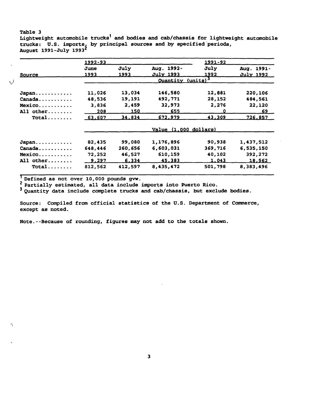# Table 3 Lightweight automobile trucks<sup>1</sup> and bodies and cab/chassis for lightweight automobile trucks: U.S. imports, by principal sources and by specified periods,<br>August 1991-July 1993<sup>2</sup>

|           | 1992-93      |         |                               | 1991-92       |                  |
|-----------|--------------|---------|-------------------------------|---------------|------------------|
|           | June         | July    | Aug. 1992-                    | July          | Aug. 1991-       |
| Source    | 1993         | 1993    | <u>July 1993</u>              | <u> 1992 </u> | <u>July 1992</u> |
|           |              |         | Quantity (units) <sup>3</sup> |               |                  |
| Japan     | 11,026       | 13,034  | 146,580                       | 12,881        | 220,106          |
| Canada    | 48,536       | 19,191  | 492,771                       | 28,152        | 484,561          |
| Mexico    | 3,836        | 2,459   | 32,973                        | 2,276         | 22,120           |
| All other | 208          | 150     | 655                           | 0             | <u>69 </u>       |
| $Total$   | 63,607       | 34,834  | 672,979                       | 43,309        | 726,857          |
|           |              |         | Value (1,000 dollars)         |               |                  |
| Japan     | 82,435       | 99,080  | 1,176,896                     | 90,938        | 1,437,512        |
| Canada    | 648,446      | 260,656 | 6,603,031                     | 369,716       | 6,535,150        |
| Mexico    | 72,252       | 46,527  | 610,159                       | 40,102        | 392,272          |
| All other | <u>9,297</u> | 6,334   | 45,383                        | 1,043         | 18,562           |
| $Total$   | 812,562      | 412,597 | 8,435,472                     | 501,798       | 8,383,496        |

X)

The fined as not over 10,000 pounds gvw.<br>
Partially estimated, all data include imports into Puerto Rico.

3 Quantity data include complete trucks and cab/chassis, but exclude bodies.

Source: Compiled from official statistics of the U.S. Department of Commerce, except as noted.

Note. -- Because of rounding, figures may not add to the totals shown.

 $\overline{\mathbf{3}}$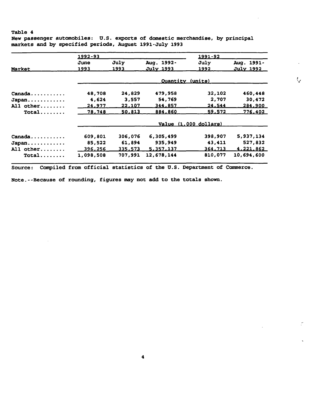New passenger automobiles: U.S. exports of domestic merchandise, by principal markets and by specified periods, August 1991-July 1993

|           | 1992-93   |               | 1991-92          |                       |                 |
|-----------|-----------|---------------|------------------|-----------------------|-----------------|
|           | June      | July          | Aug. 1992-       | July                  | Aug. 1991-      |
| Market    | 1993      | 1993          | July 1993        | <u> 1992 </u>         | July 1992       |
|           |           |               | Ouantity (units) |                       |                 |
| Canada.   | 48,708    | 24,829        | 479,958          | 32,102                | 460,448         |
| Japan     | 4,624     | 3,557         | 54,769           | 2,707                 | 30,472          |
| All other | 24,977    | 22,107        | 344,857          | 24,544                | 284,900         |
| Total     | 78,748    | <u>50.813</u> | 884,860          | 59,572                | <u>776,402 </u> |
|           |           |               |                  | Value (1,000 dollars) |                 |
| Canada    | 609,801   | 306,076       | 6,305,499        | 398,907               | 5,937,134       |
| Japan     | 85,522    | 61,894        | 935,949          | 43,411                | 527,832         |
| All other | 396,256   | 335,573       | 5,357,137        | 364,713               | 4,221,862       |
| $Total$   | 1,098,508 | 707,991       | 12,678,144       | 810,077               | 10,694,600      |

 $\mathcal{C}$ 

Source: Compiled from official statistics of the U.S. Department of Commerce.

Note.--Because of rounding, figures may not add to the totals shown.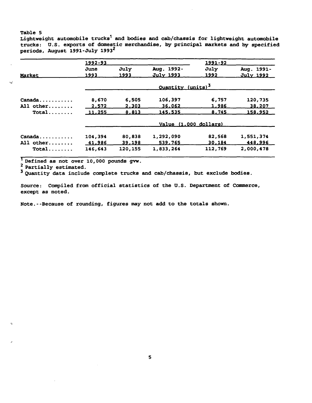,,;

Lightweight automobile  $trucks<sup>1</sup>$  and bodies and cab/chassis for lightweight automobile trucks: U.S. exports of domestic merchandise, by principal markets and by specified periods, August 1991-July 1993<sup>2</sup>

|                               | 1992-93 |         |                               | 1991-92 |                  |
|-------------------------------|---------|---------|-------------------------------|---------|------------------|
|                               | June    | July    | Aug. 1992-                    | July    | Aug. 1991-       |
| Market                        | 1993    | 1993    | July 1993                     | 1992    | <u>July 1992</u> |
|                               |         |         | Quantity (units) <sup>3</sup> |         |                  |
| Canada                        | 8,670   | 6,505   | 106,397                       | 6,757   | 120,735          |
| All other                     | 2,572   | 2,303   | <u>36,062</u>                 | 1,986   | 38,207           |
| $Total$                       | 11,255  | 8,813   | 145,535                       | 8,745   | 158,952          |
|                               |         |         | Value (1,000 dollars)         |         |                  |
| $Canada \ldots \ldots \ldots$ | 104,394 | 80,838  | 1,292,090                     | 82,568  | 1,551,374        |
| All other                     | 41,986  | 39,198  | 539,765                       | 30,184  | 448,996          |
| $Total$                       | 146,643 | 120,155 | 1,833,264                     | 112,769 | 2,000,478        |

The fined as not over 10,000 pounds gvw.

3 Quantity data include complete trucks and cab/chassis, but exclude bodies.

Source: Compiled from official statistics of the U.S. Department of Commerce, except as noted.

Note.--Because of rounding, figures may not add to the totals shown.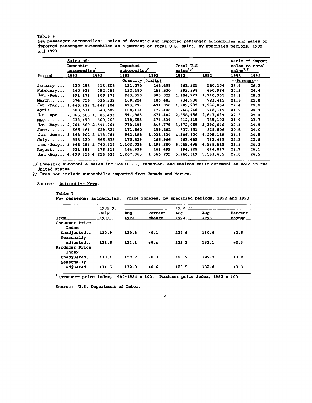New passenger automobiles: Sales of domestic and imported passenger automobiles and sales of imported passenger automobiles as a percent of total U.S. sales, by specified periods, 1992 and 1993

|                                   | Sales of-     |          |                  |               |                      |                |                           | Ratio of import |
|-----------------------------------|---------------|----------|------------------|---------------|----------------------|----------------|---------------------------|-----------------|
| Domestic                          |               | Imported |                  | Total U.S.    |                      | sales to total |                           |                 |
|                                   | automobiles'  |          | automobiles      |               | sales <sup>1,2</sup> |                | $_{\texttt{BaleB}}^{1,2}$ |                 |
| Period                            | <u> 1993 </u> | 1992     | 1993             | <u> 1992 </u> | 1993                 | <u> 1992 </u>  | <u> 1993 </u>             | 1992            |
|                                   |               |          | Quantity (units) |               |                      |                | --Percent--               |                 |
| January                           | 430,255       | 413,605  | 131,070          | 146,499       | 561,325              | 560,104        | 23.4                      | 26.2            |
| February                          | 460.918       | 492,454  | 132,480          | 158,530       | 593,398              | 650,984        | 22.3                      | 24.4            |
| $Jan.-Feb$                        | 891,173       | 905,872  | 263,550          | 305,029       | 1.154.723            | 1,210,901      | 22.8                      | 25.2            |
| March                             | 574,756       | 536,932  | 160,224          | 186,483       | 734,980              | 723,415        | 21.8                      | 25.8            |
| $Jan.-Mar 1,465,929 1,442,804$    |               |          | 423,773          | 494,050       | 1,889,702            | 1,936,854      | 22.4                      | 25.5            |
| April                             | 600,634       | 540,689  | 168,114          | 177,426       | 768,748              | 718,115        | 21.9                      | 24.7            |
| Jan.-Apr 2,066,568 1,983,493      |               |          | 591,888          | 671,482       | 2.658.456            | 2,647,099      | 22.3                      | 25.4            |
| $\tt{May$                         | 633,490       | 560,768  | 178,655          | 174,334       | 812,145              | 735,102        | 21.9                      | 23.7            |
| Jan.-May 2,701,560 2,544,261      |               |          | 770,499          | 845,779       | 3,472,059            | 3,390,040      | 22.1                      | 24.9            |
| June                              | 665,461       | 629,524  | 171,660          | 199,282       | 837,151              | 828,806        | 20.5                      | 24.0            |
| Jan.-June 3, 363, 902 3, 173, 785 |               |          | 942,198          | 1,031,334     | 4,306,100            | 4,205,119      | 21.8                      | 24.5            |
| $July. \ldots$                    | 593,120       | 566,533  | 170,329          | 166,966       | 763,449              | 733,499        | 22.3                      | 22.8            |
| Jan.-July 3,966,469 3,740,318     |               |          | 1,103,026        | 1,198,300     | 5,069,495            | 4,938,618      | 21.8                      | 24.3            |
| August                            | 531,889       | 476,318  | 164,936          | 168,499       | 696,825              | 644,817        | 23.7                      | 26.1            |
| Jan.-Aug 4,498,356 4,216,636      |               |          | 1,267,963        | 1,366,799     | 5,766,319            | 5,583,435      | 22.0                      | 24.5            |

 $1/$  Domestic automobile sales include  $U.S.-$ , Canadian- and Mexican-built automobiles sold in the United States.

2/ Does not include automobiles imported from Canada and Mexico.

Source: Automotive News.

New passenger automobiles: Price indexes, by specified periods, 1992 and 1993<sup>1</sup>

|                                      | 1992-93 |       |         | 1992-93 |       |         |
|--------------------------------------|---------|-------|---------|---------|-------|---------|
|                                      | July    | Aug.  | Percent | Aug.    | Aug.  | Percent |
| Item                                 | 1993    | 1993  | change  | 1992    | 1993  | change  |
| Consumer Price<br>Index:             |         |       |         |         |       |         |
| Unadjusted<br>Seasonally             | 130.9   | 130.8 | $-0.1$  | 127.6   | 130.8 | $+2.5$  |
| adjusted<br>Producer Price<br>Index: | 131.6   | 132.1 | $+0.4$  | 129.1   | 132.1 | $+2.3$  |
| Unadjusted<br>Seasonally             | 130.1   | 129.7 | $-0.3$  | 125.7   | 129.7 | $+3.2$  |
| adjusted                             | 131.5   | 132.8 | $+0.6$  | 128.5   | 132.8 | $+3.3$  |

 $\frac{1}{1}$ Consumer price index, 1982-1984 = 100. Producer price index, 1982 = 100.

Source: U.S. Department of Labor.

Table 7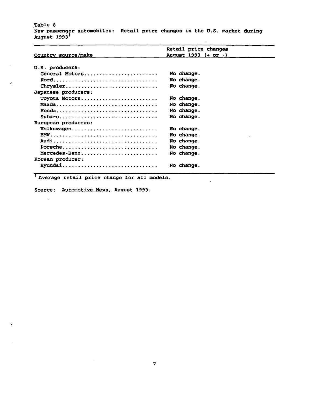$\sim$ 

Q.

'·

 $\mathbf{r}$ 

New passenger automobiles: Retail price changes in the U.S. market during August 1993<sup>1</sup>

|                     | Retail price changes |
|---------------------|----------------------|
| Country source/make | August 1993 (+ or -) |
|                     |                      |
| U.S. producers:     |                      |
| General Motors      | No change.           |
|                     | No change.           |
| Chrysler            | No change.           |
| Japanese producers: |                      |
| Toyota Motors       | No change.           |
| Mazda               | No change.           |
|                     | No change.           |
| $\texttt{Subaru}$   | No change.           |
| European producers: |                      |
| Volkswagen          | No change.           |
|                     | No change.           |
|                     | No change.           |
| Porsche             | No change.           |
| Mercedes-Benz       | No change.           |
| Korean producer:    |                      |
| Hyundai             | No change.           |
|                     |                      |

1 Average retail price change for all models.

Source: Automotive News, August 1993.

 $\mathcal{L}^{\pm}$